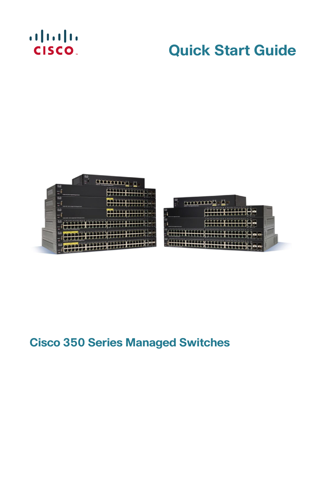## $\begin{tabular}{c} \bf . \end{tabular}$ **CISCO**

## **Quick Start Guide**





## **Cisco 350 Series Managed Switches**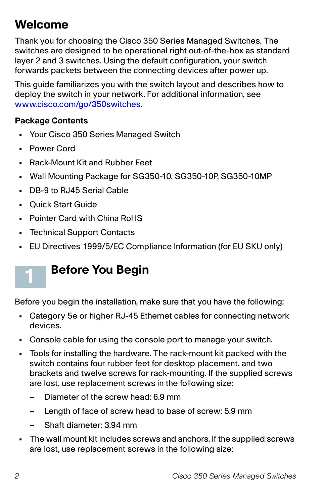## **Welcome**

Thank you for choosing the Cisco 350 Series Managed Switches. The switches are designed to be operational right out-of-the-box as standard layer 2 and 3 switches. Using the default configuration, your switch forwards packets between the connecting devices after power up.

This guide familiarizes you with the switch layout and describes how to deploy the switch in your network. For additional information, see [www.cisco.com/go/350switches.](http://www.cisco.com/go/350switches)

#### **Package Contents**

- **•** Your Cisco 350 Series Managed Switch
- **•** Power Cord

**1**

- **•** Rack-Mount Kit and Rubber Feet
- **•** Wall Mounting Package for SG350-10, SG350-10P, SG350-10MP
- **•** DB-9 to RJ45 Serial Cable
- **•** Quick Start Guide
- **•** Pointer Card with China RoHS
- **•** Technical Support Contacts
- **•** EU Directives 1999/5/EC Compliance Information (for EU SKU only)

## **Before You Begin**

Before you begin the installation, make sure that you have the following:

- **•** Category 5e or higher RJ-45 Ethernet cables for connecting network devices.
- **•** Console cable for using the console port to manage your switch.
- **•** Tools for installing the hardware. The rack-mount kit packed with the switch contains four rubber feet for desktop placement, and two brackets and twelve screws for rack-mounting. If the supplied screws are lost, use replacement screws in the following size:
	- Diameter of the screw head: 6.9 mm
	- Length of face of screw head to base of screw: 5.9 mm
	- Shaft diameter: 3.94 mm
- **•** The wall mount kit includes screws and anchors. If the supplied screws are lost, use replacement screws in the following size: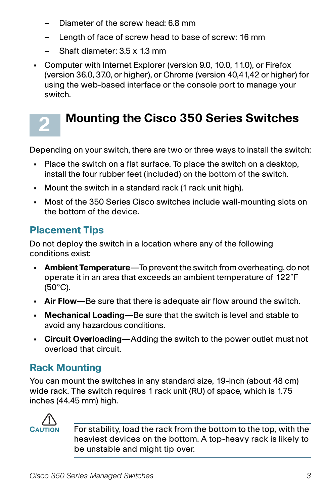- Diameter of the screw head: 6.8 mm
- Length of face of screw head to base of screw: 16 mm
- Shaft diameter: 3.5 x 1.3 mm
- **•** Computer with Internet Explorer (version 9.0, 10.0, 11.0), or Firefox (version 36.0, 37.0, or higher), or Chrome (version 40,41,42 or higher) for using the web-based interface or the console port to manage your switch.

## **Mounting the Cisco 350 Series Switches**

Depending on your switch, there are two or three ways to install the switch:

- **•** Place the switch on a flat surface. To place the switch on a desktop, install the four rubber feet (included) on the bottom of the switch.
- **•** Mount the switch in a standard rack (1 rack unit high).
- **•** Most of the 350 Series Cisco switches include wall-mounting slots on the bottom of the device.

### **Placement Tips**

**2**

Do not deploy the switch in a location where any of the following conditions exist:

- **Ambient Temperature**—To prevent the switch from overheating, do not operate it in an area that exceeds an ambient temperature of 122°F (50°C).
- **Air Flow**—Be sure that there is adequate air flow around the switch.
- **Mechanical Loading**—Be sure that the switch is level and stable to avoid any hazardous conditions.
- **Circuit Overloading**—Adding the switch to the power outlet must not overload that circuit.

### **Rack Mounting**

You can mount the switches in any standard size, 19-inch (about 48 cm) wide rack. The switch requires 1 rack unit (RU) of space, which is 1.75 inches (44.45 mm) high.



**CAUTION** For stability, load the rack from the bottom to the top, with the heaviest devices on the bottom. A top-heavy rack is likely to be unstable and might tip over.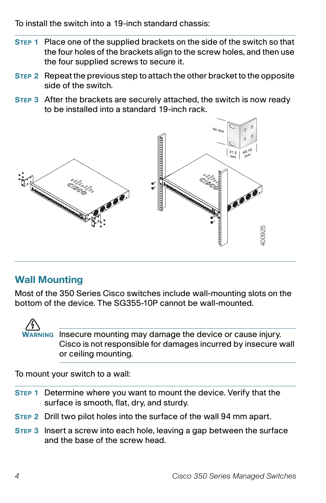To install the switch into a 19-inch standard chassis:

- **STEP 1** Place one of the supplied brackets on the side of the switch so that the four holes of the brackets align to the screw holes, and then use the four supplied screws to secure it.
- **STEP 2** Repeat the previous step to attach the other bracket to the opposite side of the switch.
- **STEP 3** After the brackets are securely attached, the switch is now ready to be installed into a standard 19-inch rack.



### **Wall Mounting**

Most of the 350 Series Cisco switches include wall-mounting slots on the bottom of the device. The SG355-10P cannot be wall-mounted.



**WARNING** Insecure mounting may damage the device or cause injury. Cisco is not responsible for damages incurred by insecure wall or ceiling mounting.

To mount your switch to a wall:

- **STEP 1** Determine where you want to mount the device. Verify that the surface is smooth, flat, dry, and sturdy.
- **STEP 2** Drill two pilot holes into the surface of the wall 94 mm apart.
- **STEP 3** Insert a screw into each hole, leaving a gap between the surface and the base of the screw head.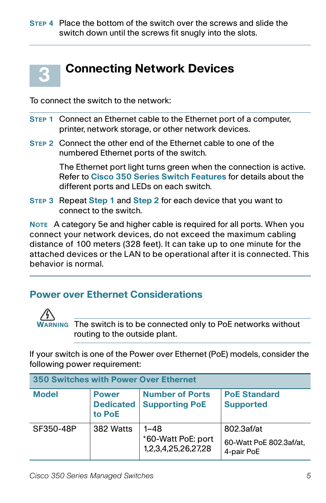

To connect the switch to the network:

- **STEP 1** Connect an Ethernet cable to the Ethernet port of a computer, printer, network storage, or other network devices.
- **STEP 2** Connect the other end of the Ethernet cable to one of the numbered Ethernet ports of the switch.

The Ethernet port light turns green when the connection is active. Refer to **[Cisco 350 Series Switch Features](#page-9-0)** for details about the different ports and LEDs on each switch.

**STEP 3** Repeat **Step 1** and **Step 2** for each device that you want to connect to the switch.

**NOTE** A category 5e and higher cable is required for all ports. When you connect your network devices, do not exceed the maximum cabling distance of 100 meters (328 feet). It can take up to one minute for the attached devices or the LAN to be operational after it is connected. This behavior is normal.

### **Power over Ethernet Considerations**



**WARNING** The switch is to be connected only to PoE networks without routing to the outside plant.

If your switch is one of the Power over Ethernet (PoE) models, consider the following power requirement:

| <b>350 Switches with Power Over Ethernet</b> |                                            |                                                       |                                                     |  |
|----------------------------------------------|--------------------------------------------|-------------------------------------------------------|-----------------------------------------------------|--|
| <b>Model</b>                                 | <b>Power</b><br><b>Dedicated</b><br>to PoE | <b>Number of Ports</b><br><b>Supporting PoE</b>       | <b>PoE Standard</b><br><b>Supported</b>             |  |
| SF350-48P                                    | 382 Watts                                  | $1 - 48$<br>*60-Watt PoE: port<br>1,2,3,4,25,26,27,28 | 802.3af/at<br>60-Watt PoE 802.3af/at.<br>4-pair PoE |  |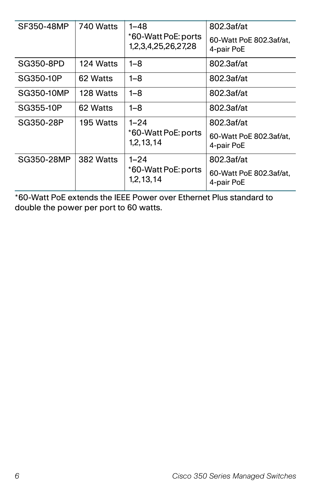| SF350-48MP | 740 Watts | $1 - 48$<br>*60-Watt PoE: ports<br>1,2,3,4,25,26,27,28 | 802.3af/at<br>60-Watt PoE 802.3af/at.<br>4-pair PoE |
|------------|-----------|--------------------------------------------------------|-----------------------------------------------------|
| SG350-8PD  | 124 Watts | 1–8                                                    | 802.3af/at                                          |
| SG350-10P  | 62 Watts  | 1–8                                                    | 802.3af/at                                          |
| SG350-10MP | 128 Watts | 1–8                                                    | 802.3af/at                                          |
| SG355-10P  | 62 Watts  | 1–8                                                    | 802.3af/at                                          |
| SG350-28P  | 195 Watts | $1 - 24$                                               | 802.3af/at                                          |
|            |           | *60-Watt PoE: ports<br>1, 2, 13, 14                    | 60-Watt PoE 802.3af/at.<br>4-pair PoE               |
| SG350-28MP | 382 Watts | $1 - 24$                                               | 802.3af/at                                          |
|            |           | *60-Watt PoE: ports<br>1,2,13,14                       | 60-Watt PoE 802.3af/at,<br>4-pair PoE               |

\*60-Watt PoE extends the IEEE Power over Ethernet Plus standard to double the power per port to 60 watts.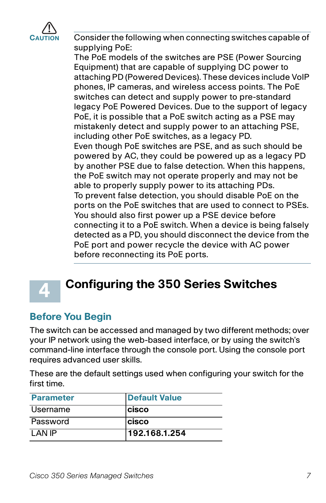

Consider the following when connecting switches capable of supplying PoE:

The PoE models of the switches are PSE (Power Sourcing Equipment) that are capable of supplying DC power to attaching PD (Powered Devices). These devices include VoIP phones, IP cameras, and wireless access points. The PoE switches can detect and supply power to pre-standard legacy PoE Powered Devices. Due to the support of legacy PoE, it is possible that a PoE switch acting as a PSE may mistakenly detect and supply power to an attaching PSE, including other PoE switches, as a legacy PD. Even though PoE switches are PSE, and as such should be powered by AC, they could be powered up as a legacy PD by another PSE due to false detection. When this happens, the PoE switch may not operate properly and may not be able to properly supply power to its attaching PDs. To prevent false detection, you should disable PoE on the ports on the PoE switches that are used to connect to PSEs. You should also first power up a PSE device before connecting it to a PoE switch. When a device is being falsely detected as a PD, you should disconnect the device from the PoE port and power recycle the device with AC power before reconnecting its PoE ports.



## **Configuring the 350 Series Switches**

### **Before You Begin**

The switch can be accessed and managed by two different methods; over your IP network using the web-based interface, or by using the switch's command-line interface through the console port. Using the console port requires advanced user skills.

These are the default settings used when configuring your switch for the first time.

| <b>Parameter</b> | Default Value |
|------------------|---------------|
| Username         | <b>cisco</b>  |
| Password         | <b>cisco</b>  |
| I AN IP          | 192.168.1.254 |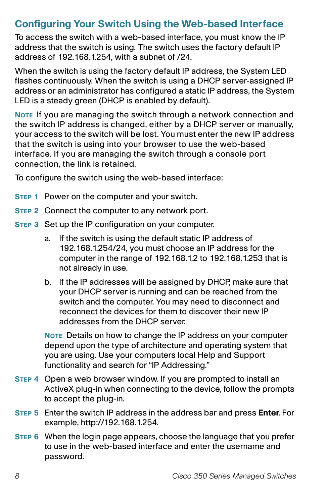### **Configuring Your Switch Using the Web-based Interface**

To access the switch with a web-based interface, you must know the IP address that the switch is using. The switch uses the factory default IP address of 192.168.1.254, with a subnet of /24.

When the switch is using the factory default IP address, the System LED flashes continuously. When the switch is using a DHCP server-assigned IP address or an administrator has configured a static IP address, the System LED is a steady green (DHCP is enabled by default).

**NOTE** If you are managing the switch through a network connection and the switch IP address is changed, either by a DHCP server or manually, your access to the switch will be lost. You must enter the new IP address that the switch is using into your browser to use the web-based interface. If you are managing the switch through a console port connection, the link is retained.

To configure the switch using the web-based interface:

- **STEP 1** Power on the computer and your switch.
- **STEP 2** Connect the computer to any network port.
- **STEP 3** Set up the IP configuration on your computer.
	- a. If the switch is using the default static IP address of 192.168.1.254/24, you must choose an IP address for the computer in the range of 192.168.1.2 to 192.168.1.253 that is not already in use.
	- b. If the IP addresses will be assigned by DHCP, make sure that your DHCP server is running and can be reached from the switch and the computer. You may need to disconnect and reconnect the devices for them to discover their new IP addresses from the DHCP server.

**NOTE** Details on how to change the IP address on your computer depend upon the type of architecture and operating system that you are using. Use your computers local Help and Support functionality and search for "IP Addressing."

- **STEP 4** Open a web browser window. If you are prompted to install an ActiveX plug-in when connecting to the device, follow the prompts to accept the plug-in.
- **STEP 5** Enter the switch IP address in the address bar and press **Enter**. For example, http://192.168.1.254.
- **STEP 6** When the login page appears, choose the language that you prefer to use in the web-based interface and enter the username and password.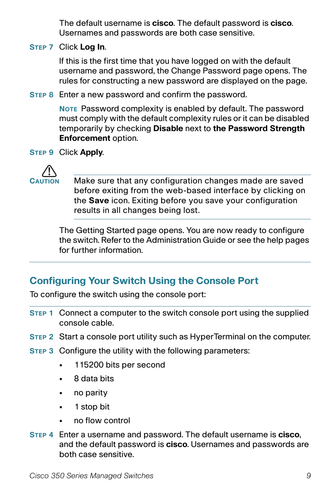The default username is **cisco**. The default password is **cisco**. Usernames and passwords are both case sensitive.

**STEP 7** Click **Log In**.

If this is the first time that you have logged on with the default username and password, the Change Password page opens. The rules for constructing a new password are displayed on the page.

**STEP 8** Enter a new password and confirm the password.

**NOTE** Password complexity is enabled by default. The password must comply with the default complexity rules or it can be disabled temporarily by checking **Disable** next to **the Password Strength Enforcement** option.

**STEP 9** Click **Apply**.



Make sure that any configuration changes made are saved before exiting from the web-based interface by clicking on the **Save** icon. Exiting before you save your configuration results in all changes being lost.

The Getting Started page opens. You are now ready to configure the switch. Refer to the Administration Guide or see the help pages for further information.

### **Configuring Your Switch Using the Console Port**

To configure the switch using the console port:

- **STEP 1** Connect a computer to the switch console port using the supplied console cable.
- **STEP 2** Start a console port utility such as HyperTerminal on the computer.
- **STEP 3** Configure the utility with the following parameters:
	- **•** 115200 bits per second
	- **•** 8 data bits
	- **•** no parity
	- **•** 1 stop bit
	- **•** no flow control
- **STEP 4** Enter a username and password. The default username is **cisco**, and the default password is **cisco**. Usernames and passwords are both case sensitive.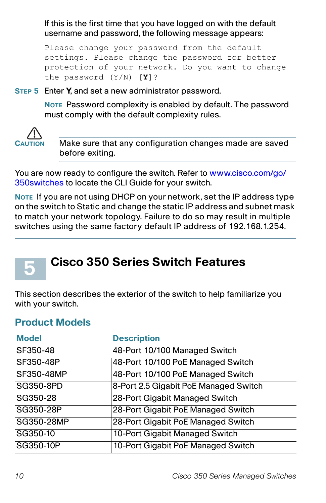If this is the first time that you have logged on with the default username and password, the following message appears:

```
Please change your password from the default 
settings. Please change the password for better 
protection of your network. Do you want to change 
the password (Y/N) [Y]?
```
**STEP 5** Enter **Y**, and set a new administrator password.

**NOTE** Password complexity is enabled by default. The password must comply with the default complexity rules.



**CAUTION** Make sure that any configuration changes made are saved before exiting.

You are now ready to configure the switch. Refer to [www.cisco.com/go/](http://www.cisco.com/go/350switches) [350switches t](http://www.cisco.com/go/350switches)o locate the CLI Guide for your switch.

**NOTE** If you are not using DHCP on your network, set the IP address type on the switch to Static and change the static IP address and subnet mask to match your network topology. Failure to do so may result in multiple switches using the same factory default IP address of 192.168.1.254.

# <span id="page-9-0"></span>**5**

## **Cisco 350 Series Switch Features**

This section describes the exterior of the switch to help familiarize you with your switch.

### **Product Models**

| <b>Model</b> | <b>Description</b>                    |
|--------------|---------------------------------------|
| SF350-48     | 48-Port 10/100 Managed Switch         |
| SF350-48P    | 48-Port 10/100 PoE Managed Switch     |
| SF350-48MP   | 48-Port 10/100 PoE Managed Switch     |
| SG350-8PD    | 8-Port 2.5 Gigabit PoE Managed Switch |
| SG350-28     | 28-Port Gigabit Managed Switch        |
| SG350-28P    | 28-Port Gigabit PoE Managed Switch    |
| SG350-28MP   | 28-Port Gigabit PoE Managed Switch    |
| SG350-10     | 10-Port Gigabit Managed Switch        |
| SG350-10P    | 10-Port Gigabit PoE Managed Switch    |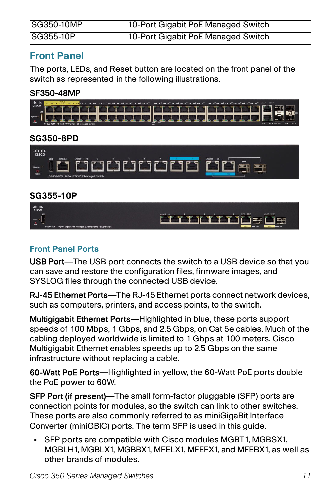| SG350-10MP | 10-Port Gigabit PoE Managed Switch |
|------------|------------------------------------|
| SG355-10P  | 10-Port Gigabit PoE Managed Switch |

### **Front Panel**

The ports, LEDs, and Reset button are located on the front panel of the switch as represented in the following illustrations.

#### SF350-48MP



#### **SG350-8PD**



#### **SG355-10P**



#### **Front Panel Ports**

USB Port—The USB port connects the switch to a USB device so that you can save and restore the configuration files, firmware images, and SYSLOG files through the connected USB device.

RJ-45 Ethernet Ports—The RJ-45 Ethernet ports connect network devices, such as computers, printers, and access points, to the switch.

Multigigabit Ethernet Ports—Highlighted in blue, these ports support speeds of 100 Mbps, 1 Gbps, and 2.5 Gbps, on Cat 5e cables. Much of the cabling deployed worldwide is limited to 1 Gbps at 100 meters. Cisco Multigigabit Ethernet enables speeds up to 2.5 Gbps on the same infrastructure without replacing a cable.

60-Watt PoE Ports—Highlighted in yellow, the 60-Watt PoE ports double the PoE power to 60W.

SFP Port (if present)—The small form-factor pluggable (SFP) ports are connection points for modules, so the switch can link to other switches. These ports are also commonly referred to as miniGigaBit Interface Converter (miniGBIC) ports. The term SFP is used in this guide.

**•** SFP ports are compatible with Cisco modules MGBT1, MGBSX1, MGBLH1, MGBLX1, MGBBX1, MFELX1, MFEFX1, and MFEBX1, as well as other brands of modules.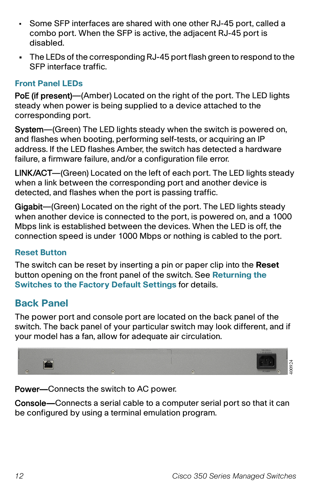- Some SFP interfaces are shared with one other RJ-45 port, called a combo port. When the SFP is active, the adjacent RJ-45 port is disabled.
- **•** The LEDs of the corresponding RJ-45 port flash green to respond to the SFP interface traffic.

#### **Front Panel LEDs**

PoE (if present)—(Amber) Located on the right of the port. The LED lights steady when power is being supplied to a device attached to the corresponding port.

System—(Green) The LED lights steady when the switch is powered on, and flashes when booting, performing self-tests, or acquiring an IP address. If the LED flashes Amber, the switch has detected a hardware failure, a firmware failure, and/or a configuration file error.

LINK/ACT—(Green) Located on the left of each port. The LED lights steady when a link between the corresponding port and another device is detected, and flashes when the port is passing traffic.

Gigabit—(Green) Located on the right of the port. The LED lights steady when another device is connected to the port, is powered on, and a 1000 Mbps link is established between the devices. When the LED is off, the connection speed is under 1000 Mbps or nothing is cabled to the port.

#### **Reset Button**

The switch can be reset by inserting a pin or paper clip into the **Reset** button opening on the front panel of the switch. See **[Returning the](#page-12-0)  [Switches to the Factory Default Settings](#page-12-0)** for details.

### **Back Panel**

The power port and console port are located on the back panel of the switch. The back panel of your particular switch may look different, and if your model has a fan, allow for adequate air circulation.



Power—Connects the switch to AC power.

Console—Connects a serial cable to a computer serial port so that it can be configured by using a terminal emulation program.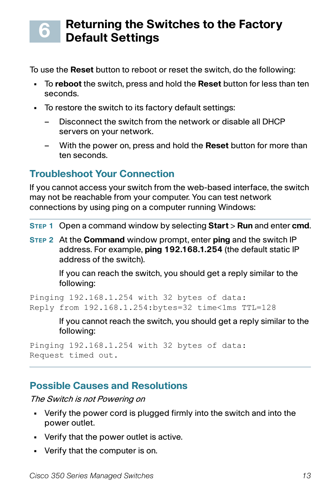#### <span id="page-12-0"></span>**Returning the Switches to the Factory Default Settings 6**

To use the **Reset** button to reboot or reset the switch, do the following:

- **•** To **reboot** the switch, press and hold the **Reset** button for less than ten seconds.
- **•** To restore the switch to its factory default settings:
	- Disconnect the switch from the network or disable all DHCP servers on your network.
	- With the power on, press and hold the **Reset** button for more than ten seconds.

### **Troubleshoot Your Connection**

If you cannot access your switch from the web-based interface, the switch may not be reachable from your computer. You can test network connections by using ping on a computer running Windows:

**STEP 1** Open a command window by selecting **Start** > **Run** and enter **cmd**.

**STEP 2** At the **Command** window prompt, enter **ping** and the switch IP address. For example, **ping 192.168.1.254** (the default static IP address of the switch).

> If you can reach the switch, you should get a reply similar to the following:

Pinging 192.168.1.254 with 32 bytes of data: Reply from 192.168.1.254:bytes=32 time<1ms TTL=128

> If you cannot reach the switch, you should get a reply similar to the following:

```
Pinging 192.168.1.254 with 32 bytes of data:
Request timed out.
```
### **Possible Causes and Resolutions**

The Switch is not Powering on

- **•** Verify the power cord is plugged firmly into the switch and into the power outlet.
- **•** Verify that the power outlet is active.
- **•** Verify that the computer is on.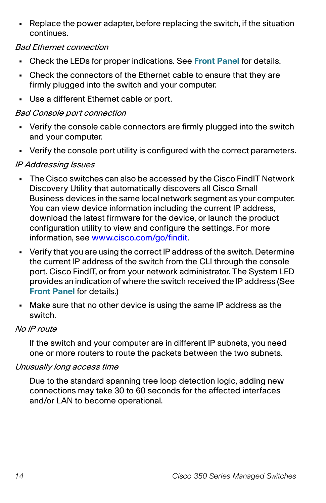**•** Replace the power adapter, before replacing the switch, if the situation continues.

#### Bad Ethernet connection

- **•** Check the LEDs for proper indications. See **Front Panel** for details.
- **•** Check the connectors of the Ethernet cable to ensure that they are firmly plugged into the switch and your computer.
- **•** Use a different Ethernet cable or port.

#### Bad Console port connection

- **•** Verify the console cable connectors are firmly plugged into the switch and your computer.
- **•** Verify the console port utility is configured with the correct parameters.

#### IP Addressing Issues

- **•** The Cisco switches can also be accessed by the Cisco FindIT Network Discovery Utility that automatically discovers all Cisco Small Business devices in the same local network segment as your computer. You can view device information including the current IP address, download the latest firmware for the device, or launch the product configuration utility to view and configure the settings. For more information, see [www.cisco.com/go/findit.](http://www.cisco.com/go/findit)
- **•** Verify that you are using the correct IP address of the switch. Determine the current IP address of the switch from the CLI through the console port, Cisco FindIT, or from your network administrator. The System LED provides an indication of where the switch received the IP address (See **Front Panel** for details.)
- **•** Make sure that no other device is using the same IP address as the switch.

#### No IP route

If the switch and your computer are in different IP subnets, you need one or more routers to route the packets between the two subnets.

#### Unusually long access time

Due to the standard spanning tree loop detection logic, adding new connections may take 30 to 60 seconds for the affected interfaces and/or LAN to become operational.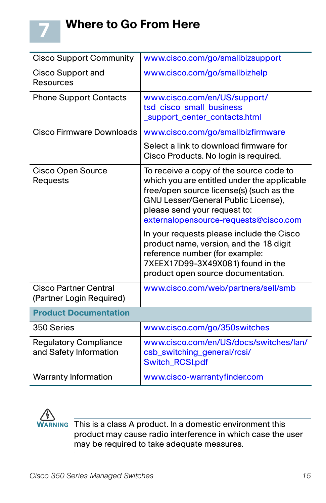

| <b>Cisco Support Community</b>                           | www.cisco.com/go/smallbizsupport                                                                                                                                                                                                                   |
|----------------------------------------------------------|----------------------------------------------------------------------------------------------------------------------------------------------------------------------------------------------------------------------------------------------------|
| Cisco Support and<br>Resources                           | www.cisco.com/go/smallbizhelp                                                                                                                                                                                                                      |
| <b>Phone Support Contacts</b>                            | www.cisco.com/en/US/support/<br>tsd_cisco_small_business<br>_support_center_contacts.html                                                                                                                                                          |
| Cisco Firmware Downloads                                 | www.cisco.com/go/smallbizfirmware                                                                                                                                                                                                                  |
|                                                          | Select a link to download firmware for<br>Cisco Products. No login is required.                                                                                                                                                                    |
| <b>Cisco Open Source</b><br>Requests                     | To receive a copy of the source code to<br>which you are entitled under the applicable<br>free/open source license(s) (such as the<br>GNU Lesser/General Public License),<br>please send your request to:<br>externalopensource-requests@cisco.com |
|                                                          | In your requests please include the Cisco<br>product name, version, and the 18 digit<br>reference number (for example:<br>7XEEX17D99-3X49X081) found in the<br>product open source documentation.                                                  |
| <b>Cisco Partner Central</b><br>(Partner Login Required) | www.cisco.com/web/partners/sell/smb                                                                                                                                                                                                                |
| <b>Product Documentation</b>                             |                                                                                                                                                                                                                                                    |
| 350 Series                                               | www.cisco.com/go/350switches                                                                                                                                                                                                                       |
| <b>Regulatory Compliance</b><br>and Safety Information   | www.cisco.com/en/US/docs/switches/lan/<br>csb_switching_general/rcsi/<br><b>Switch_RCSI.pdf</b>                                                                                                                                                    |
| <b>Warranty Information</b>                              | www.cisco-warrantyfinder.com                                                                                                                                                                                                                       |



**7**

**WARNING** This is a class A product. In a domestic environment this product may cause radio interference in which case the user may be required to take adequate measures.